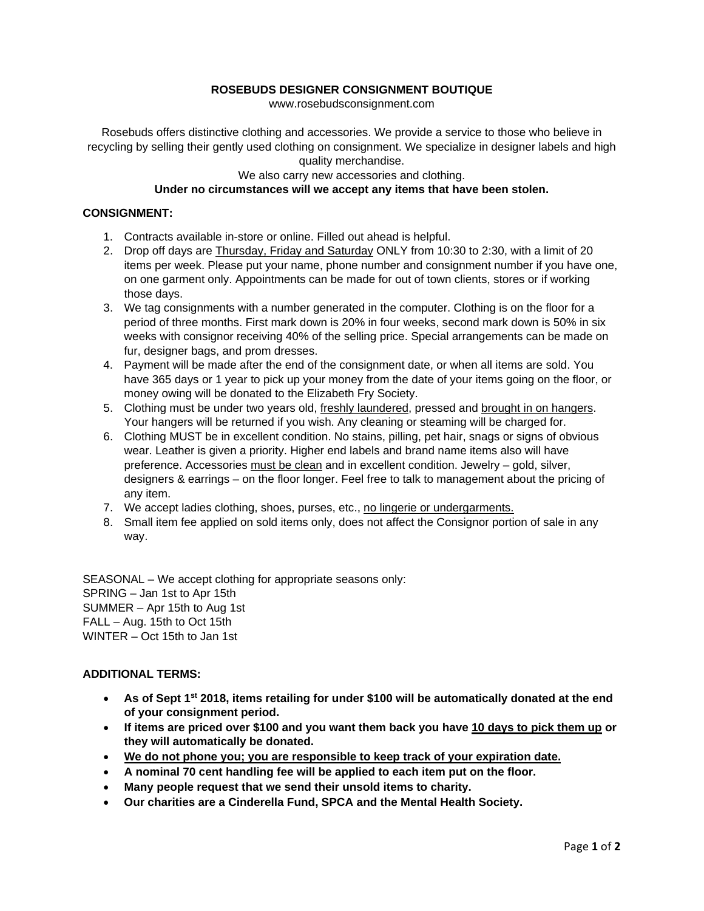### **ROSEBUDS DESIGNER CONSIGNMENT BOUTIQUE**

www.rosebudsconsignment.com

Rosebuds offers distinctive clothing and accessories. We provide a service to those who believe in recycling by selling their gently used clothing on consignment. We specialize in designer labels and high quality merchandise.

## We also carry new accessories and clothing. **Under no circumstances will we accept any items that have been stolen.**

#### **CONSIGNMENT:**

- 1. Contracts available in-store or online. Filled out ahead is helpful.
- 2. Drop off days are Thursday, Friday and Saturday ONLY from 10:30 to 2:30, with a limit of 20 items per week. Please put your name, phone number and consignment number if you have one, on one garment only. Appointments can be made for out of town clients, stores or if working those days.
- 3. We tag consignments with a number generated in the computer. Clothing is on the floor for a period of three months. First mark down is 20% in four weeks, second mark down is 50% in six weeks with consignor receiving 40% of the selling price. Special arrangements can be made on fur, designer bags, and prom dresses.
- 4. Payment will be made after the end of the consignment date, or when all items are sold. You have 365 days or 1 year to pick up your money from the date of your items going on the floor, or money owing will be donated to the Elizabeth Fry Society.
- 5. Clothing must be under two years old, freshly laundered, pressed and brought in on hangers. Your hangers will be returned if you wish. Any cleaning or steaming will be charged for.
- 6. Clothing MUST be in excellent condition. No stains, pilling, pet hair, snags or signs of obvious wear. Leather is given a priority. Higher end labels and brand name items also will have preference. Accessories must be clean and in excellent condition. Jewelry – gold, silver, designers & earrings – on the floor longer. Feel free to talk to management about the pricing of any item.
- 7. We accept ladies clothing, shoes, purses, etc., no lingerie or undergarments.
- 8. Small item fee applied on sold items only, does not affect the Consignor portion of sale in any way.

SEASONAL – We accept clothing for appropriate seasons only: SPRING – Jan 1st to Apr 15th SUMMER – Apr 15th to Aug 1st FALL – Aug. 15th to Oct 15th WINTER – Oct 15th to Jan 1st

#### **ADDITIONAL TERMS:**

- **As of Sept 1st 2018, items retailing for under \$100 will be automatically donated at the end of your consignment period.**
- **If items are priced over \$100 and you want them back you have 10 days to pick them up or they will automatically be donated.**
- **We do not phone you; you are responsible to keep track of your expiration date.**
- **A nominal 70 cent handling fee will be applied to each item put on the floor.**
- **Many people request that we send their unsold items to charity.**
- **Our charities are a Cinderella Fund, SPCA and the Mental Health Society.**